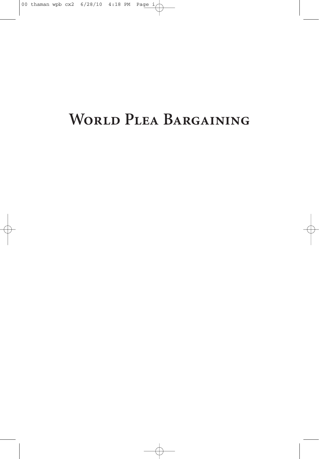# **World Plea Bargaining**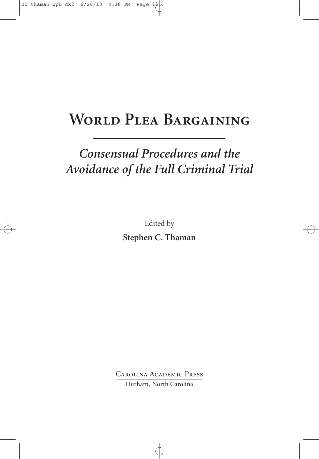## **World Plea Bargaining**

## *Consensual Procedures and the Avoidance of the Full Criminal Trial*

Edited by **Stephen C. Thaman**

Carolina Academic Press Durham, North Carolina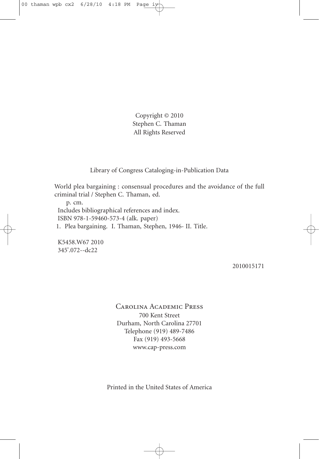Copyright © 2010 Stephen C. Thaman All Rights Reserved

Library of Congress Cataloging-in-Publication Data

World plea bargaining : consensual procedures and the avoidance of the full criminal trial / Stephen C. Thaman, ed.

p. cm. Includes bibliographical references and index. ISBN 978-1-59460-573-4 (alk. paper) 1. Plea bargaining. I. Thaman, Stephen, 1946- II. Title.

K5458.W67 2010 345'.072--dc22

2010015171

Carolina Academic Press 700 Kent Street Durham, North Carolina 27701 Telephone (919) 489-7486 Fax (919) 493-5668 www.cap-press.com

Printed in the United States of America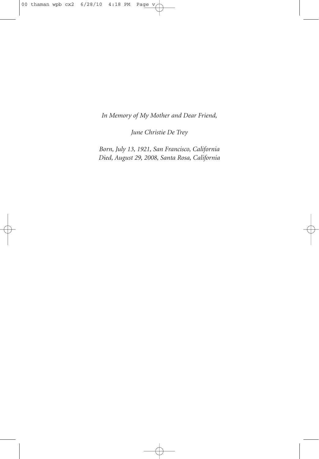*In Memory of My Mother and Dear Friend,*

*June Christie De Trey*

*Born, July 13, 1921, San Francisco, California Died, August 29, 2008, Santa Rosa, California*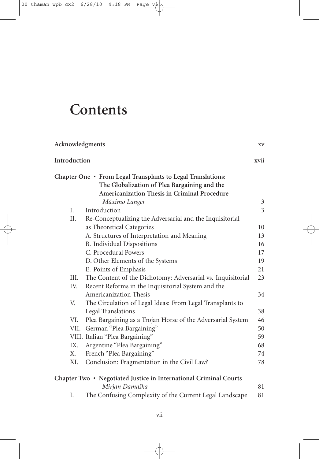# **Contents**

| Acknowledgments |                                                                                                             | XV                  |
|-----------------|-------------------------------------------------------------------------------------------------------------|---------------------|
| Introduction    |                                                                                                             | xvii                |
|                 | Chapter One • From Legal Transplants to Legal Translations:<br>The Globalization of Plea Bargaining and the |                     |
|                 | Americanization Thesis in Criminal Procedure                                                                |                     |
| Ι.              | Máximo Langer<br>Introduction                                                                               | 3<br>$\overline{3}$ |
| Η.              |                                                                                                             |                     |
|                 | Re-Conceptualizing the Adversarial and the Inquisitorial<br>as Theoretical Categories                       | 10                  |
|                 | A. Structures of Interpretation and Meaning                                                                 | 13                  |
|                 | B. Individual Dispositions                                                                                  | 16                  |
|                 | C. Procedural Powers                                                                                        | 17                  |
|                 | D. Other Elements of the Systems                                                                            | 19                  |
|                 | E. Points of Emphasis                                                                                       | 21                  |
| III.            | The Content of the Dichotomy: Adversarial vs. Inquisitorial                                                 | 23                  |
| IV.             | Recent Reforms in the Inquisitorial System and the                                                          |                     |
|                 | <b>Americanization Thesis</b>                                                                               | 34                  |
| V.              | The Circulation of Legal Ideas: From Legal Transplants to                                                   |                     |
|                 | <b>Legal Translations</b>                                                                                   | 38                  |
| VI.             | Plea Bargaining as a Trojan Horse of the Adversarial System                                                 | 46                  |
|                 | VII. German "Plea Bargaining"                                                                               | 50                  |
|                 | VIII. Italian "Plea Bargaining"                                                                             | 59                  |
| IX.             | Argentine "Plea Bargaining"                                                                                 | 68                  |
| Х.              | French "Plea Bargaining"                                                                                    | 74                  |
| XI.             | Conclusion: Fragmentation in the Civil Law?                                                                 | 78                  |
|                 | Chapter Two • Negotiated Justice in International Criminal Courts                                           |                     |
|                 | Mirjan Damaška                                                                                              | 81                  |
| I.              | The Confusing Complexity of the Current Legal Landscape                                                     | 81                  |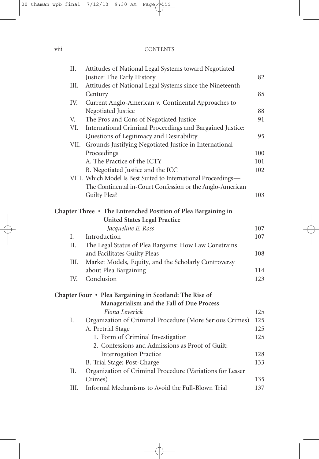### viii CONTENTS

| Π.   | Attitudes of National Legal Systems toward Negotiated          |     |
|------|----------------------------------------------------------------|-----|
|      | Justice: The Early History                                     | 82  |
| III. | Attitudes of National Legal Systems since the Nineteenth       |     |
|      | Century                                                        | 85  |
| IV.  | Current Anglo-American v. Continental Approaches to            |     |
|      | Negotiated Justice                                             | 88  |
| V.   | The Pros and Cons of Negotiated Justice                        | 91  |
| VI.  | International Criminal Proceedings and Bargained Justice:      |     |
|      | Questions of Legitimacy and Desirability                       | 95  |
| VII. | Grounds Justifying Negotiated Justice in International         |     |
|      | Proceedings                                                    | 100 |
|      | A. The Practice of the ICTY                                    | 101 |
|      | B. Negotiated Justice and the ICC                              | 102 |
|      | VIII. Which Model Is Best Suited to International Proceedings- |     |
|      | The Continental in-Court Confession or the Anglo-American      |     |
|      | Guilty Plea?                                                   | 103 |
|      | Chapter Three • The Entrenched Position of Plea Bargaining in  |     |
|      | <b>United States Legal Practice</b>                            |     |
|      | Jacqueline E. Ross                                             | 107 |
| I.   | Introduction                                                   | 107 |
| II.  | The Legal Status of Plea Bargains: How Law Constrains          |     |
|      | and Facilitates Guilty Pleas                                   | 108 |
| III. | Market Models, Equity, and the Scholarly Controversy           |     |
|      | about Plea Bargaining                                          | 114 |
| IV.  | Conclusion                                                     | 123 |
|      | Chapter Four • Plea Bargaining in Scotland: The Rise of        |     |
|      | Managerialism and the Fall of Due Process                      |     |
|      | Fiona Leverick                                                 | 125 |
| I.   | Organization of Criminal Procedure (More Serious Crimes)       | 125 |
|      | A. Pretrial Stage                                              | 125 |
|      | 1. Form of Criminal Investigation                              | 125 |
|      | 2. Confessions and Admissions as Proof of Guilt:               |     |
|      | <b>Interrogation Practice</b>                                  | 128 |
|      | B. Trial Stage: Post-Charge                                    | 133 |
| Π.   | Organization of Criminal Procedure (Variations for Lesser      |     |
|      | Crimes)                                                        | 135 |
| III. | Informal Mechanisms to Avoid the Full-Blown Trial              | 137 |
|      |                                                                |     |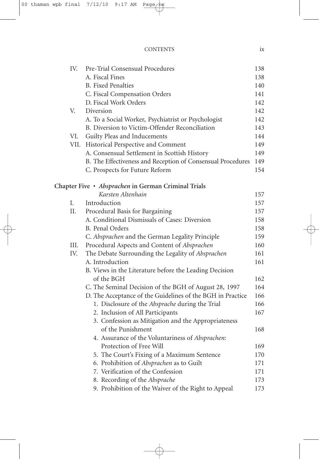| <b>CONTENTS</b> |  |
|-----------------|--|
|                 |  |

| IV. | Pre-Trial Consensual Procedures                             | 138 |
|-----|-------------------------------------------------------------|-----|
|     | A. Fiscal Fines                                             | 138 |
|     | <b>B.</b> Fixed Penalties                                   | 140 |
|     | C. Fiscal Compensation Orders                               | 141 |
|     | D. Fiscal Work Orders                                       | 142 |
| V.  | Diversion                                                   | 142 |
|     | A. To a Social Worker, Psychiatrist or Psychologist         | 142 |
|     | B. Diversion to Victim-Offender Reconciliation              | 143 |
| VI. | Guilty Pleas and Inducements                                | 144 |
|     | VII. Historical Perspective and Comment                     | 149 |
|     | A. Consensual Settlement in Scottish History                | 149 |
|     | B. The Effectiveness and Reception of Consensual Procedures | 149 |
|     | C. Prospects for Future Reform                              | 154 |
|     | Chapter Five · Absprachen in German Criminal Trials         |     |
|     | Karsten Altenhain                                           | 157 |
| I.  | Introduction                                                | 157 |
| II. | Procedural Basis for Bargaining                             | 157 |
|     | A. Conditional Dismissals of Cases: Diversion               | 158 |
|     | <b>B.</b> Penal Orders                                      | 158 |
|     | C. Absprachen and the German Legality Principle             | 159 |
| Ш.  | Procedural Aspects and Content of Absprachen                | 160 |
| IV. | The Debate Surrounding the Legality of Absprachen           | 161 |
|     | A. Introduction                                             | 161 |
|     | B. Views in the Literature before the Leading Decision      |     |
|     | of the BGH                                                  | 162 |
|     | C. The Seminal Decision of the BGH of August 28, 1997       | 164 |
|     | D. The Acceptance of the Guidelines of the BGH in Practice  | 166 |
|     | 1. Disclosure of the Absprache during the Trial             | 166 |
|     | 2. Inclusion of All Participants                            | 167 |
|     | 3. Confession as Mitigation and the Appropriateness         |     |
|     | of the Punishment                                           | 168 |
|     | 4. Assurance of the Voluntariness of Absprachen:            |     |
|     | Protection of Free Will                                     | 169 |
|     | 5. The Court's Fixing of a Maximum Sentence                 | 170 |
|     | 6. Prohibition of Absprachen as to Guilt                    | 171 |
|     | 7. Verification of the Confession                           | 171 |
|     | 8. Recording of the Absprache                               | 173 |
|     | 9. Prohibition of the Waiver of the Right to Appeal         | 173 |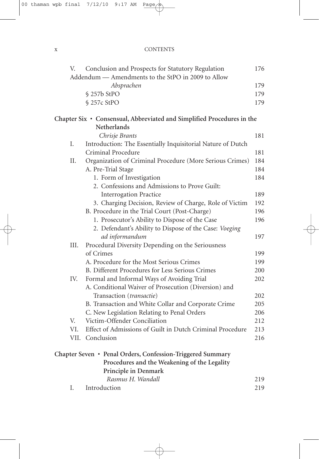### x CONTENTS

| V.   | Conclusion and Prospects for Statutory Regulation                      | 176 |
|------|------------------------------------------------------------------------|-----|
|      | Addendum - Amendments to the StPO in 2009 to Allow                     |     |
|      | Absprachen                                                             | 179 |
|      | § 257b StPO                                                            | 179 |
|      | § 257c StPO                                                            | 179 |
|      | Chapter Six · Consensual, Abbreviated and Simplified Procedures in the |     |
|      | <b>Netherlands</b>                                                     |     |
|      | Chrisje Brants                                                         | 181 |
| Ι.   | Introduction: The Essentially Inquisitorial Nature of Dutch            |     |
|      | Criminal Procedure                                                     | 181 |
| Η.   | Organization of Criminal Procedure (More Serious Crimes)               | 184 |
|      | A. Pre-Trial Stage                                                     | 184 |
|      | 1. Form of Investigation                                               | 184 |
|      | 2. Confessions and Admissions to Prove Guilt:                          |     |
|      | <b>Interrogation Practice</b>                                          | 189 |
|      | 3. Charging Decision, Review of Charge, Role of Victim                 | 192 |
|      | B. Procedure in the Trial Court (Post-Charge)                          | 196 |
|      | 1. Prosecutor's Ability to Dispose of the Case                         | 196 |
|      | 2. Defendant's Ability to Dispose of the Case: Voeging                 |     |
|      | ad informandum                                                         | 197 |
| III. | Procedural Diversity Depending on the Seriousness                      |     |
|      | of Crimes                                                              | 199 |
|      | A. Procedure for the Most Serious Crimes                               | 199 |
|      | B. Different Procedures for Less Serious Crimes                        | 200 |
| IV.  | Formal and Informal Ways of Avoiding Trial                             | 202 |
|      | A. Conditional Waiver of Prosecution (Diversion) and                   |     |
|      | Transaction (transactie)                                               | 202 |
|      | B. Transaction and White Collar and Corporate Crime                    | 205 |
|      | C. New Legislation Relating to Penal Orders                            | 206 |
| V.   | Victim-Offender Conciliation                                           | 212 |
| VI.  | Effect of Admissions of Guilt in Dutch Criminal Procedure              | 213 |
| VII. | Conclusion                                                             | 216 |
|      | Chapter Seven • Penal Orders, Confession-Triggered Summary             |     |
|      | Procedures and the Weakening of the Legality                           |     |
|      | Principle in Denmark                                                   |     |
|      | Rasmus H. Wandall                                                      | 219 |
| Ι.   | Introduction                                                           | 219 |
|      |                                                                        |     |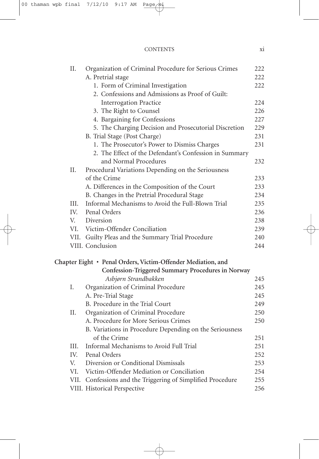| II.  | Organization of Criminal Procedure for Serious Crimes        | 222        |
|------|--------------------------------------------------------------|------------|
|      | A. Pretrial stage                                            | 222        |
|      | 1. Form of Criminal Investigation                            | 222        |
|      | 2. Confessions and Admissions as Proof of Guilt:             |            |
|      | <b>Interrogation Practice</b>                                | 224<br>226 |
|      | 3. The Right to Counsel                                      | 227        |
|      | 4. Bargaining for Confessions                                |            |
|      | 5. The Charging Decision and Prosecutorial Discretion        | 229<br>231 |
|      | B. Trial Stage (Post Charge)                                 |            |
|      | 1. The Prosecutor's Power to Dismiss Charges                 | 231        |
|      | 2. The Effect of the Defendant's Confession in Summary       |            |
|      | and Normal Procedures                                        | 232        |
| II.  | Procedural Variations Depending on the Seriousness           |            |
|      | of the Crime                                                 | 233        |
|      | A. Differences in the Composition of the Court               | 233        |
|      | B. Changes in the Pretrial Procedural Stage                  | 234        |
| III. | Informal Mechanisms to Avoid the Full-Blown Trial            | 235        |
| IV.  | Penal Orders                                                 | 236        |
| V.   | Diversion                                                    | 238        |
| VI.  | Victim-Offender Conciliation                                 | 239        |
|      | VII. Guilty Pleas and the Summary Trial Procedure            | 240        |
|      | VIII. Conclusion                                             | 244        |
|      | Chapter Eight · Penal Orders, Victim-Offender Mediation, and |            |
|      | Confession-Triggered Summary Procedures in Norway            |            |
|      | Asbjørn Strandbakken                                         | 245        |
| I.   | Organization of Criminal Procedure                           | 245        |
|      | A. Pre-Trial Stage                                           | 245        |
|      | B. Procedure in the Trial Court                              | 249        |
| Η.   | Organization of Criminal Procedure                           | 250        |
|      | A. Procedure for More Serious Crimes                         | 250        |
|      | B. Variations in Procedure Depending on the Seriousness      |            |
|      | of the Crime                                                 | 251        |
| III. | Informal Mechanisms to Avoid Full Trial                      | 251        |
| IV.  | Penal Orders                                                 | 252        |
| V.   | Diversion or Conditional Dismissals                          | 253        |
| VI.  | Victim-Offender Mediation or Conciliation                    | 254        |
|      | VII. Confessions and the Triggering of Simplified Procedure  | 255        |
|      | VIII. Historical Perspective                                 | 256        |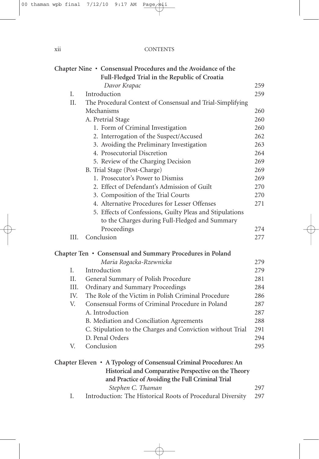| X11 | <b>CONTENTS</b> |
|-----|-----------------|
|     |                 |

|     | Chapter Nine • Consensual Procedures and the Avoidance of the                                                                                                                                      |     |
|-----|----------------------------------------------------------------------------------------------------------------------------------------------------------------------------------------------------|-----|
|     | Full-Fledged Trial in the Republic of Croatia                                                                                                                                                      |     |
|     | Davor Krapac                                                                                                                                                                                       | 259 |
| I.  | Introduction                                                                                                                                                                                       | 259 |
| II. | The Procedural Context of Consensual and Trial-Simplifying                                                                                                                                         |     |
|     | Mechanisms                                                                                                                                                                                         | 260 |
|     | A. Pretrial Stage                                                                                                                                                                                  | 260 |
|     | 1. Form of Criminal Investigation                                                                                                                                                                  | 260 |
|     | 2. Interrogation of the Suspect/Accused                                                                                                                                                            | 262 |
|     | 3. Avoiding the Preliminary Investigation                                                                                                                                                          | 263 |
|     | 4. Prosecutorial Discretion                                                                                                                                                                        | 264 |
|     | 5. Review of the Charging Decision                                                                                                                                                                 | 269 |
|     | B. Trial Stage (Post-Charge)                                                                                                                                                                       | 269 |
|     | 1. Prosecutor's Power to Dismiss                                                                                                                                                                   | 269 |
|     | 2. Effect of Defendant's Admission of Guilt                                                                                                                                                        | 270 |
|     | 3. Composition of the Trial Courts                                                                                                                                                                 | 270 |
|     | 4. Alternative Procedures for Lesser Offenses                                                                                                                                                      | 271 |
|     | 5. Effects of Confessions, Guilty Pleas and Stipulations                                                                                                                                           |     |
|     | to the Charges during Full-Fledged and Summary                                                                                                                                                     |     |
|     | Proceedings                                                                                                                                                                                        | 274 |
|     | Conclusion<br>III.                                                                                                                                                                                 | 277 |
|     | Chapter Ten • Consensual and Summary Procedures in Poland                                                                                                                                          |     |
|     | Maria Rogacka-Rzewnicka                                                                                                                                                                            | 279 |
| I.  | Introduction                                                                                                                                                                                       | 279 |
| Η.  | General Summary of Polish Procedure                                                                                                                                                                | 281 |
|     | III.<br>Ordinary and Summary Proceedings                                                                                                                                                           | 284 |
|     | IV.<br>The Role of the Victim in Polish Criminal Procedure                                                                                                                                         | 286 |
| V.  | Consensual Forms of Criminal Procedure in Poland                                                                                                                                                   | 287 |
|     | A. Introduction                                                                                                                                                                                    | 287 |
|     | B. Mediation and Conciliation Agreements                                                                                                                                                           | 288 |
|     | C. Stipulation to the Charges and Conviction without Trial                                                                                                                                         | 291 |
|     | D. Penal Orders                                                                                                                                                                                    | 294 |
| V.  | Conclusion                                                                                                                                                                                         | 295 |
|     | Chapter Eleven • A Typology of Consensual Criminal Procedures: An<br>Historical and Comparative Perspective on the Theory<br>and Practice of Avoiding the Full Criminal Trial<br>Stephen C. Thaman | 297 |
| Ι.  | Introduction: The Historical Roots of Procedural Diversity                                                                                                                                         | 297 |
|     |                                                                                                                                                                                                    |     |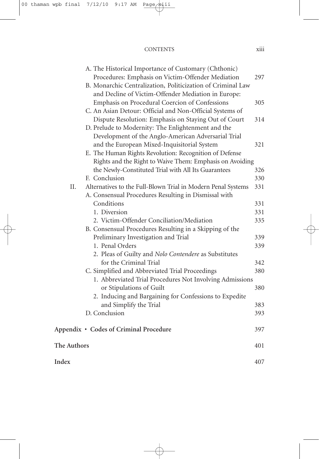### CONTENTS xiii

|             | A. The Historical Importance of Customary (Chthonic)         |     |
|-------------|--------------------------------------------------------------|-----|
|             | Procedures: Emphasis on Victim-Offender Mediation            | 297 |
|             | B. Monarchic Centralization, Politicization of Criminal Law  |     |
|             | and Decline of Victim-Offender Mediation in Europe:          |     |
|             | Emphasis on Procedural Coercion of Confessions               | 305 |
|             | C. An Asian Detour: Official and Non-Official Systems of     |     |
|             | Dispute Resolution: Emphasis on Staying Out of Court         | 314 |
|             | D. Prelude to Modernity: The Enlightenment and the           |     |
|             | Development of the Anglo-American Adversarial Trial          |     |
|             | and the European Mixed-Inquisitorial System                  | 321 |
|             | E. The Human Rights Revolution: Recognition of Defense       |     |
|             | Rights and the Right to Waive Them: Emphasis on Avoiding     |     |
|             | the Newly-Constituted Trial with All Its Guarantees          | 326 |
|             | F. Conclusion                                                | 330 |
| ΙΙ.         |                                                              | 331 |
|             | Alternatives to the Full-Blown Trial in Modern Penal Systems |     |
|             | A. Consensual Procedures Resulting in Dismissal with         |     |
|             | Conditions                                                   | 331 |
|             | 1. Diversion                                                 | 331 |
|             | 2. Victim-Offender Conciliation/Mediation                    | 335 |
|             | B. Consensual Procedures Resulting in a Skipping of the      |     |
|             | Preliminary Investigation and Trial                          | 339 |
|             | 1. Penal Orders                                              | 339 |
|             | 2. Pleas of Guilty and Nolo Contendere as Substitutes        |     |
|             | for the Criminal Trial                                       | 342 |
|             | C. Simplified and Abbreviated Trial Proceedings              | 380 |
|             | 1. Abbreviated Trial Procedures Not Involving Admissions     |     |
|             | or Stipulations of Guilt                                     | 380 |
|             | 2. Inducing and Bargaining for Confessions to Expedite       |     |
|             | and Simplify the Trial                                       | 383 |
|             | D. Conclusion                                                | 393 |
|             | Appendix · Codes of Criminal Procedure                       | 397 |
|             |                                                              |     |
| The Authors |                                                              | 401 |
| Index       |                                                              | 407 |
|             |                                                              |     |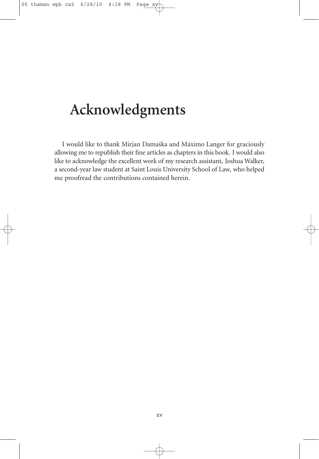## **Acknowledgments**

I would like to thank Mirjan Damaška and Máximo Langer for graciously allowing me to republish their fine articles as chapters in this book. I would also like to acknowledge the excellent work of my research assistant, Joshua Walker, a second-year law student at Saint Louis University School of Law, who helped me proofread the contributions contained herein.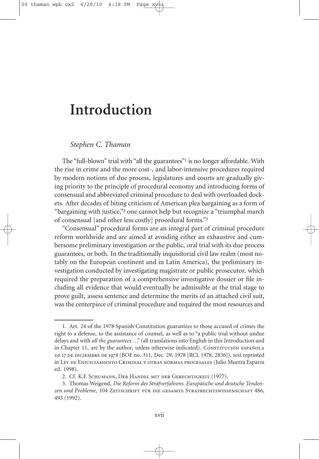## **Introduction**

### *Stephen C. Thaman*

The "full-blown" trial with "all the guarantees"<sup>1</sup> is no longer affordable. With the rise in crime and the more cost-, and labor-intensive procedures required by modern notions of due process, legislatures and courts are gradually giving priority to the principle of procedural economy and introducing forms of consensual and abbreviated criminal procedure to deal with overloaded dockets. After decades of biting criticism of American plea bargaining as a form of "bargaining with justice,"2 one cannot help but recognize a "triumphal march of consensual [and other less costly] procedural forms."3

"Consensual" procedural forms are an integral part of criminal procedure reform worldwide and are aimed at avoiding either an exhaustive and cumbersome preliminary investigation or the public, oral trial with its due process guarantees, or both. In the traditionally inquisitorial civil law realm (most notably on the European continent and in Latin America), the preliminary investigation conducted by investigating magistrate or public prosecutor, which required the preparation of a comprehensive investigative dossier or file including all evidence that would eventually be admissible at the trial stage to prove guilt, assess sentence and determine the merits of an attached civil suit, was the centerpiece of criminal procedure and required the most resources and

<sup>1.</sup> Art. 24 of the 1978 Spanish Constitution guarantees to those accused of crimes the right to a defense, to the assistance of counsel, as well as to "a public trial without undue delays and with *all the guarantees* ..." (all translations into English in this Introduction and in Chapter 11, are by the author, unless otherwise indicated). Constitución española de 17 de diciembre de 1978 (BOE no. 311, Dec. 29, 1978 [RCL 1978, 2836]), text reprinted in Ley de Enjuiciamiento Criminal y otras normas procesales (Julio Muerza Esparza ed. 1998).

<sup>2.</sup> Cf. K.F. Schumann, Der Handel mit der Gerechtigkeit (1977).

<sup>3.</sup> Thomas Weigend, *Die Reform des Strafverfahrens. Europäische und deutsche Tendenzen und Probleme*, 104 Zeitschrift für die gesamte Strafrechtswissenschaft 486, 493 (1992).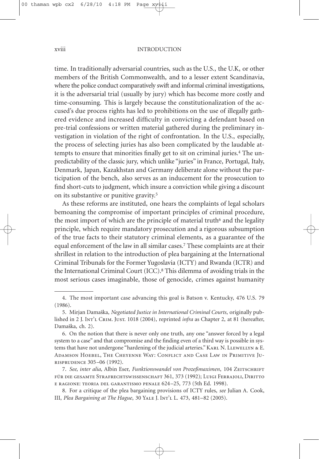time. In traditionally adversarial countries, such as the U.S., the U.K, or other members of the British Commonwealth, and to a lesser extent Scandinavia, where the police conduct comparatively swift and informal criminal investigations, it is the adversarial trial (usually by jury) which has become more costly and time-consuming. This is largely because the constitutionalization of the accused's due process rights has led to prohibitions on the use of illegally gathered evidence and increased difficulty in convicting a defendant based on pre-trial confessions or written material gathered during the preliminary investigation in violation of the right of confrontation. In the U.S., especially, the process of selecting juries has also been complicated by the laudable attempts to ensure that minorities finally get to sit on criminal juries. <sup>4</sup> The unpredictability of the classic jury, which unlike "juries" in France, Portugal, Italy, Denmark, Japan, Kazakhstan and Germany deliberate alone without the participation of the bench, also serves as an inducement for the prosecution to find short-cuts to judgment, which insure a conviction while giving a discount on its substantive or punitive gravity. 5

As these reforms are instituted, one hears the complaints of legal scholars bemoaning the compromise of important principles of criminal procedure, the most import of which are the principle of material truth<sup>6</sup> and the legality principle, which require mandatory prosecution and a rigorous subsumption of the true facts to their statutory criminal elements, as a guarantee of the equal enforcement of the law in all similar cases. <sup>7</sup> These complaints are at their shrillest in relation to the introduction of plea bargaining at the International Criminal Tribunals for the Former Yugoslavia (ICTY) and Rwanda (ICTR) and the International Criminal Court (ICC). <sup>8</sup> This dilemma of avoiding trials in the most serious cases imaginable, those of genocide, crimes against humanity

<sup>4.</sup> The most important case advancing this goal is Batson v. Kentucky, 476 U.S. 79 (1986).

<sup>5.</sup> Mirjan Damaška, *Negotiated Justice in International Criminal Courts*, originally published in 2 J. Int'l Crim. Just. 1018 (2004), reprinted *infra* as Chapter 2, at 81 (hereafter, Damaška, ch. 2).

<sup>6.</sup> On the notion that there is never only one truth, any one "answer forced by a legal system to a case" and that compromise and the finding even of a third way is possible in systems that have not undergone "hardening of the judicial arteries." KARL N. LLEWELLYN & E. Adamson Hoebel, The Cheyenne Way: Conflict and Case Law in Primitive Jurisprudence 305–06 (1992).

<sup>7.</sup> *See, inter alia,* Albin Eser, *Funktionswandel von Prozeßmaximen*, 104 Zeitschrift für die gesamte Strafrechtswissenschaft 361, 373 (1992); Luigi Ferrajoli, Diritto e ragione: teoria del garantismo penale 624–25, 773 (5th Ed. 1998).

<sup>8.</sup> For a critique of the plea bargaining provisions of ICTY rules, *see* Julian A. Cook, III, *Plea Bargaining at The Hague*, 30 Yale J. Int'l L. 473, 481–82 (2005).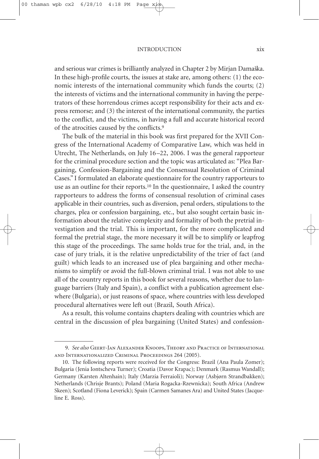#### INTRODUCTION xix

and serious war crimes is brilliantly analyzed in Chapter 2 by Mirjan Damaška. In these high-profile courts, the issues at stake are, among others: (1) the economic interests of the international community which funds the courts; (2) the interests of victims and the international community in having the perpetrators of these horrendous crimes accept responsibility for their acts and express remorse; and (3) the interest of the international community, the parties to the conflict, and the victims, in having a full and accurate historical record of the atrocities caused by the conflicts. 9

The bulk of the material in this book was first prepared for the XVII Congress of the International Academy of Comparative Law, which was held in Utrecht, The Netherlands, on July 16–22, 2006. I was the general rapporteur for the criminal procedure section and the topic was articulated as: "Plea Bargaining, Confession-Bargaining and the Consensual Resolution of Criminal Cases." I formulated an elaborate questionnaire for the country rapporteurs to use as an outline for their reports. <sup>10</sup> In the questionnaire, I asked the country rapporteurs to address the forms of consensual resolution of criminal cases applicable in their countries, such as diversion, penal orders, stipulations to the charges, plea or confession bargaining, etc., but also sought certain basic information about the relative complexity and formality of both the pretrial investigation and the trial. This is important, for the more complicated and formal the pretrial stage, the more necessary it will be to simplify or leapfrog this stage of the proceedings. The same holds true for the trial, and, in the case of jury trials, it is the relative unpredictability of the trier of fact (and guilt) which leads to an increased use of plea bargaining and other mechanisms to simplify or avoid the full-blown criminal trial. I was not able to use all of the country reports in this book for several reasons, whether due to language barriers (Italy and Spain), a conflict with a publication agreement elsewhere (Bulgaria), or just reasons of space, where countries with less developed procedural alternatives were left out (Brazil, South Africa).

As a result, this volume contains chapters dealing with countries which are central in the discussion of plea bargaining (United States) and confession-

<sup>9.</sup> *See also* Geert-Jan Alexander Knoops, Theory and Practice of International and Internationalized Criminal Proceedings 264 (2005).

<sup>10.</sup> The following reports were received for the Congress: Brazil (Ana Paula Zomer); Bulgaria (Jenia Iontscheva Turner); Croatia (Davor Krapac); Denmark (Rasmus Wandall); Germany (Karsten Altenhain); Italy (Marzia Ferraioli); Norway (Asbjørn Strandbakken); Netherlands (Chrisje Brants); Poland (Maria Rogacka-Rzewnicka); South Africa (Andrew Skeen); Scotland (Fiona Leverick); Spain (Carmen Samanes Ara) and United States (Jacqueline E. Ross).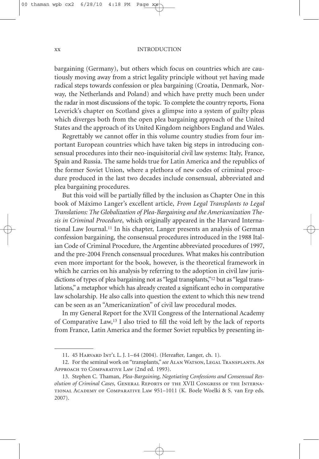#### xx INTRODUCTION

bargaining (Germany), but others which focus on countries which are cautiously moving away from a strict legality principle without yet having made radical steps towards confession or plea bargaining (Croatia, Denmark, Norway, the Netherlands and Poland) and which have pretty much been under the radar in most discussions of the topic. To complete the country reports, Fiona Leverick's chapter on Scotland gives a glimpse into a system of guilty pleas which diverges both from the open plea bargaining approach of the United States and the approach of its United Kingdom neighbors England and Wales.

Regrettably we cannot offer in this volume country studies from four important European countries which have taken big steps in introducing consensual procedures into their neo-inquisitorial civil law systems: Italy, France, Spain and Russia. The same holds true for Latin America and the republics of the former Soviet Union, where a plethora of new codes of criminal procedure produced in the last two decades include consensual, abbreviated and plea bargaining procedures.

But this void will be partially filled by the inclusion as Chapter One in this book of Máximo Langer's excellent article, *From Legal Transplants to Legal Translations: The Globalization of Plea-Bargaining and the Americanization Thesis in Criminal Procedure*, which originally appeared in the Harvard International Law Journal.11 In his chapter, Langer presents an analysis of German confession bargaining, the consensual procedures introduced in the 1988 Italian Code of Criminal Procedure, the Argentine abbreviated procedures of 1997, and the pre-2004 French consensual procedures. What makes his contribution even more important for the book, however, is the theoretical framework in which he carries on his analysis by referring to the adoption in civil law jurisdictions of types of plea bargaining not as "legal transplants,"12 but as "legal translations," a metaphor which has already created a significant echo in comparative law scholarship. He also calls into question the extent to which this new trend can be seen as an "Americanization" of civil law procedural modes.

In my General Report for the XVII Congress of the International Academy of Comparative Law,13 I also tried to fill the void left by the lack of reports from France, Latin America and the former Soviet republics by presenting in-

<sup>11.</sup> 45 Harvard Int'l L. J. 1–64 (2004). (Hereafter, Langer, ch. 1).

<sup>12.</sup> For the seminal work on "transplants," *see* Alan Watson, Legal Transplants. An Approach to Comparative Law (2nd ed. 1993).

<sup>13.</sup> Stephen C. Thaman, *Plea-Bargaining, Negotiating Confessions and Consensual Resolution of Criminal Cases*, General Reports of the XVII Congress of the International Academy of Comparative Law 951–1011 (K. Boele Woelki & S. van Erp eds. 2007).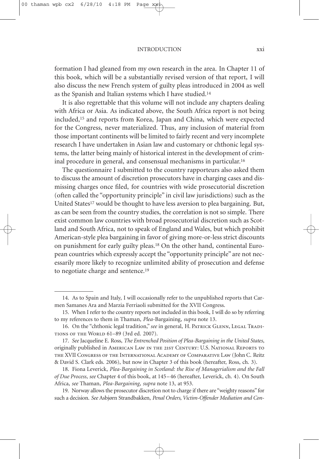#### INTRODUCTION xxi

formation I had gleaned from my own research in the area. In Chapter 11 of this book, which will be a substantially revised version of that report, I will also discuss the new French system of guilty pleas introduced in 2004 as well as the Spanish and Italian systems which I have studied. 14

It is also regrettable that this volume will not include any chapters dealing with Africa or Asia. As indicated above, the South Africa report is not being included,15 and reports from Korea, Japan and China, which were expected for the Congress, never materialized. Thus, any inclusion of material from those important continents will be limited to fairly recent and very incomplete research I have undertaken in Asian law and customary or chthonic legal systems, the latter being mainly of historical interest in the development of criminal procedure in general, and consensual mechanisms in particular. 16

The questionnaire I submitted to the country rapporteurs also asked them to discuss the amount of discretion prosecutors have in charging cases and dismissing charges once filed, for countries with wide prosecutorial discretion (often called the "opportunity principle" in civil law jurisdictions) such as the United States<sup>17</sup> would be thought to have less aversion to plea bargaining. But, as can be seen from the country studies, the correlation is not so simple. There exist common law countries with broad prosecutorial discretion such as Scotland and South Africa, not to speak of England and Wales, but which prohibit American-style plea bargaining in favor of giving more-or-less strict discounts on punishment for early guilty pleas. <sup>18</sup> On the other hand, continental European countries which expressly accept the "opportunity principle" are not necessarily more likely to recognize unlimited ability of prosecution and defense to negotiate charge and sentence. 19

<sup>14.</sup> As to Spain and Italy, I will occasionally refer to the unpublished reports that Carmen Samanes Ara and Marzia Ferriaoli submitted for the XVII Congress.

<sup>15.</sup> When I refer to the country reports not included in this book, I will do so by referring to my references to them in Thaman, *Plea-*Bargaining, *supra* note 13.

<sup>16.</sup> On the "chthonic legal tradition," see in general, H. PATRICK GLENN, LEGAL TRADItions of the World 61–89 (3rd ed. 2007).

<sup>17.</sup> *See* Jacqueline E. Ross, *The Entrenched Position of Plea-Bargaining in the United States*, originally published in American Law in the 21st Century: U.S. National Reports to the XVII Congress of the International Academy of Comparative Law (John C. Reitz & David S. Clark eds. 2006), but now in Chapter 3 of this book (hereafter, Ross, ch. 3).

<sup>18.</sup> Fiona Leverick, *Plea-Bargaining in Scotland: the Rise of Managerialism and the Fall of Due Process*, *see* Chapter 4 of this book, at 145–46 (hereafter, Leverick, ch. 4). On South Africa, *see* Thaman, *Plea-Bargaining*, *supra* note 13, at 953.

<sup>19.</sup> Norway allows the prosecutor discretion not to charge if there are "weighty reasons" for such a decision. *See* Asbjørn Strandbakken, *Penal Orders, Victim-Offender Mediation and Con-*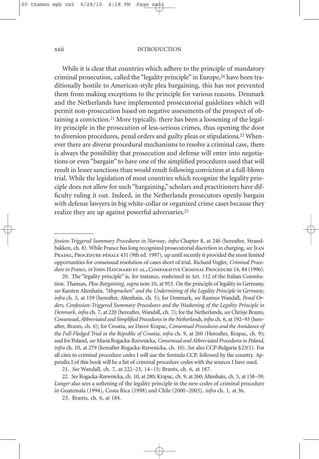#### xxii INTRODUCTION

While it is clear that countries which adhere to the principle of mandatory criminal prosecution, called the "legality principle" in Europe, <sup>20</sup> have been traditionally hostile to American-style plea bargaining, this has not prevented them from making exceptions to the principle for various reasons. Denmark and the Netherlands have implemented prosecutorial guidelines which will permit non-prosecution based on negative assessments of the prospect of obtaining a conviction. <sup>21</sup> More typically, there has been a loosening of the legality principle in the prosecution of less-serious crimes, thus opening the door to diversion procedures, penal orders and guilty pleas or stipulations. <sup>22</sup> Whenever there are diverse procedural mechanisms to resolve a criminal case, there is always the possibility that prosecution and defense will enter into negotiations or even "bargain" to have one of the simplified procedures used that will result in lesser sanctions than would result following conviction at a full-blown trial. While the legislation of most countries which recognize the legality principle does not allow for such "bargaining," scholars and practitioners have difficulty ruling it out. Indeed, in the Netherlands prosecutors openly bargain with defense lawyers in big white-collar or organized crime cases because they realize they are up against powerful adversaries. 23

*fession-Triggered Summary Procedures in Norway*, *infra* Chapter 8, at 246 (hereafter, Strandbakken, ch. 8). While France has long recognized prosecutorial discretion in charging, *see*Jean PRADEL, PROCÉDURE PÉNALE 431 (9th ed. 1997), up until recently it provided the most limited opportunities for consensual resolution of cases short of trial. Richard Vogler, *Criminal Procedurein France*, *in* John Hatchard et al.,Comparative Criminal Procedure 14, 84 (1996).

<sup>20.</sup> The "legality principle" is, for instance, enshrined in Art. 112 of the Italian Constitution. Thaman, *Plea-Bargaining*, *supra* note 10, at 953. On the principle of legality in Germany, *see* Karsten Altenhain, *"Absprachen" and the Undermining of the Legality Principle in Germany*, *infra* ch. 5, at 159 (hereafter, Altenhain, ch. 5); for Denmark, *see* Rasmus Wandall, *Penal Orders, Confession-Triggered Summary Procedures and the Weakening of the Legality Principle in Denmark*, *infra* ch. 7, at 220 (hereafter, Wandall, ch. 7); for the Netherlands, see Chrisje Brants, *Consensual,Abbreviated and Simplified Procedures in the Netherlands*, *infra* ch. 6, at 192–93 (hereafter, Brants, ch. 6); for Croatia, *see* Davor Krapac, *Consensual Procedures and the Avoidance of the Full-Fledged Trial in the Republic of Croatia*, *infra* ch. 9, at 260 (Hereafter, Krapac, ch. 9); and for Poland, *see* Maria Rogacka-Rzewnicka, *Consensual andAbbreviated Procedures in Poland*, *infra* ch. 10, at 279 (hereafter Rogacka-Rzewnicka, ch. 10). *See* also CCP-Bulgaria §23(1). For all cites to criminal procedure codes I will use the formula CCP, followed by the country. Appendix I of this book will be a list of criminal procedure codes with the sources I have used.

<sup>21.</sup> *See* Wandall, ch. 7, at 222–23, 14–15; Brants, ch. 6, at 187.

<sup>22.</sup> *See* Rogacka-Rzewnicka, ch. 10, at 280; Krapac, ch. 9, at 260; Altenhain, ch. 5, at 158–59. *Langer* also sees a softening of the legality principle in the new codes of criminal procedure in Guatemala (1994), Costa Rica (1998) and Chile (2000–2003), *infra* ch. 1, at 36.

<sup>23.</sup> Brants, ch. 6, at 184.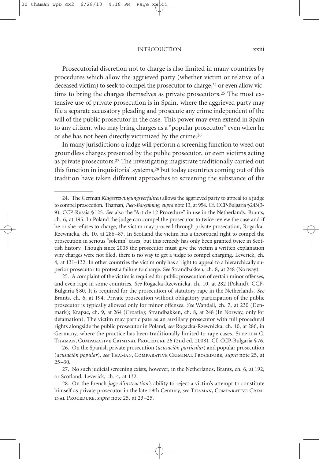#### INTRODUCTION xxiii

Prosecutorial discretion not to charge is also limited in many countries by procedures which allow the aggrieved party (whether victim or relative of a deceased victim) to seek to compel the prosecutor to charge, <sup>24</sup> or even allow victims to bring the charges themselves as private prosecutors.<sup>25</sup> The most extensive use of private prosecution is in Spain, where the aggrieved party may file a separate accusatory pleading and prosecute any crime independent of the will of the public prosecutor in the case. This power may even extend in Spain to any citizen, who may bring charges as a "popular prosecutor" even when he or she has not been directly victimized by the crime. 26

In many jurisdictions a judge will perform a screening function to weed out groundless charges presented by the public prosecutor, or even victims acting as private prosecutors. <sup>27</sup> The investigating magistrate traditionally carried out this function in inquisitorial systems, <sup>28</sup> but today countries coming out of this tradition have taken different approaches to screening the substance of the

25. A complaint of the victim is required for public prosecution of certain minor offenses, and even rape in some countries. *See* Rogacka-Rzewnicka, ch. 10, at 282 (Poland). CCP-Bulgaria §80. It is required for the prosecution of statutory rape in the Netherlands. *See* Brants, ch. 6, at 194. Private prosecution without obligatory participation of the public prosecutor is typically allowed only for minor offenses. *See* Wandall, ch. 7, at 230 (Denmark); Krapac, ch. 9, at 264 (Croatia); Strandbakken, ch. 8, at 248 (In Norway, only for defamation). The victim may participate as an auxiliary prosecutor with full procedural rights alongside the public prosecutor in Poland, *see* Rogacka-Rzewnicka, ch. 10, at 286, in Germany, where the practice has been traditionally limited to rape cases. Stephen C. Thaman, Comparative Criminal Procedure 26 (2nd ed. 2008). Cf. CCP-Bulgaria §76.

27. No such judicial screening exists, however, in the Netherlands, Brants, ch. 6, at 192, or Scotland, Leverick, ch. 4, at 132.

28. On the French *juge d'instruction*'s ability to reject a victim's attempt to constitute himself as private prosecutor in the late 19th Century, *see* Thaman, Comparative Criminal Procedure, *supra* note 25, at 23–25.

<sup>24.</sup> The German *Klageerzwingungsverfahren* allows the aggrieved party to appeal to a judge to compel prosecution. Thaman, *Plea-Bargaining*, *supra* note 13, at 954. Cf. CCP-Bulgaria §243(3- 9); CCP-Russia §125. *See* also the "Article 12 Procedure" in use in the Netherlands. Brants, ch. 6, at 195. In Poland the judge can compel the prosecutor to twice review the case and if he or she refuses to charge, the victim may proceed through private prosecution, Rogacka-Rzewnicka, ch. 10, at 286–87. In Scotland the victim has a theoretical right to compel the prosecution in serious "solemn" cases, but this remedy has only been granted twice in Scottish history. Though since 2005 the prosecutor must give the victim a written explanation why charges were not filed, there is no way to get a judge to compel charging. Leverick, ch. 4, at 131–132. In other countries the victim only has a right to appeal to a hierarchically superior prosecutor to protest a failure to charge. S*ee* Strandbakken, ch. 8, at 248 (Norway).

<sup>26.</sup> On the Spanish private prosecution (*acusación particular*) and popular prosecution (*acusación popular*), *see* Thaman, Comparative Criminal Procedure, *supra* note 25, at  $25 - 30.$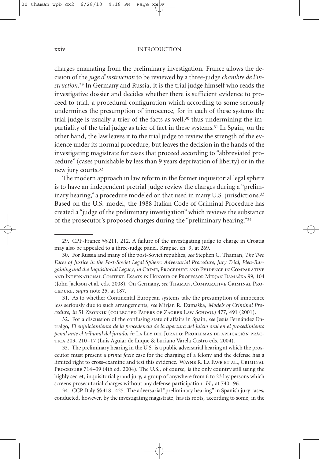#### xxiv INTRODUCTION

charges emanating from the preliminary investigation. France allows the decision of the *juge d'instruction* to be reviewed by a three-judge *chambre de l'instruction*. <sup>29</sup> In Germany and Russia, it is the trial judge himself who reads the investigative dossier and decides whether there is sufficient evidence to proceed to trial, a procedural configuration which according to some seriously undermines the presumption of innocence, for in each of these systems the trial judge is usually a trier of the facts as well,<sup>30</sup> thus undermining the impartiality of the trial judge as trier of fact in these systems. <sup>31</sup> In Spain, on the other hand, the law leaves it to the trial judge to review the strength of the evidence under its normal procedure, but leaves the decision in the hands of the investigating magistrate for cases that proceed according to "abbreviated procedure" (cases punishable by less than 9 years deprivation of liberty) or in the new jury courts. 32

The modern approach in law reform in the former inquisitorial legal sphere is to have an independent pretrial judge review the charges during a "preliminary hearing," a procedure modeled on that used in many U.S. jurisdictions. 33 Based on the U.S. model, the 1988 Italian Code of Criminal Procedure has created a "judge of the preliminary investigation"which reviews the substance of the prosecutor's proposed charges during the "preliminary hearing."34

31. As to whether Continental European systems take the presumption of innocence less seriously due to such arrangements, see Mirjan R. Damaška, Models of Criminal Pro*cedure*, *in* 51 Zbornik (collected Papers of Zagreb Law School) 477, 491 (2001).

32. For a discussion of the confusing state of affairs in Spain, *see* Jesús Fernández Entralgo, *El enjuiciamiento de la procedencia de la apertura del juicio oral en el procedimiento penal ante el tribunal del jurado*, *in* La Ley del Jurado: Problemas de aplicación práctica 203, 210–17 (Luis Aguiar de Luque & Luciano Varela Castro eds. 2004).

33. The preliminary hearing in the U.S. is a public adversarial hearing at which the prosecutor must present a *prima facie* case for the charging of a felony and the defense has a limited right to cross-examine and test this evidence. WAYNE R. LA FAVE ET AL., CRIMINAL PROCEDURE 714-39 (4th ed. 2004). The U.S., of course, is the only country still using the highly secret, inquisitorial grand jury, a group of anywhere from 6 to 23 lay persons which screens prosecutorial charges without any defense participation. *Id.*, at 740–96.

34. CCP-Italy §§418–425. The adversarial "preliminary hearing" in Spanish jury cases, conducted, however, by the investigating magistrate, has its roots, according to some, in the

<sup>29.</sup> CPP-France §§211, 212. A failure of the investigating judge to charge in Croatia may also be appealed to a three-judge panel. Krapac, ch. 9, at 269.

<sup>30.</sup> For Russia and many of the post-Soviet republics, *see* Stephen C. Thaman, *The Two Faces of Justice in the Post-Soviet Legal Sphere*: *Adversarial Procedure, Jury Trial, Plea-Bargaining and the Inquisitorial Legacy*, *in* Crime, Procedure and Evidence in Comparative and International Context: Essays in Honour of Professor Mirjan Damaška 99, 104 (John Jackson et al. eds. 2008). On Germany, *see* Thaman, Comparative Criminal Procedure, *supra* note 25, at 187.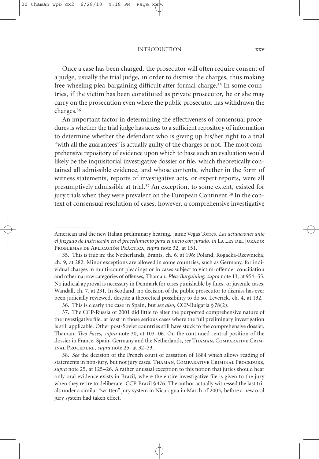INTRODUCTION xxv

Once a case has been charged, the prosecutor will often require consent of a judge, usually the trial judge, in order to dismiss the charges, thus making free-wheeling plea-bargaining difficult after formal charge.<sup>35</sup> In some countries, if the victim has been constituted as private prosecutor, he or she may carry on the prosecution even where the public prosecutor has withdrawn the charges.36

An important factor in determining the effectiveness of consensual procedures is whether the trial judge has access to a sufficient repository of information to determine whether the defendant who is giving up his/her right to a trial "with all the guarantees" is actually guilty of the charges or not. The most comprehensive repository of evidence upon which to base such an evaluation would likely be the inquisitorial investigative dossier or file, which theoretically contained all admissible evidence, and whose contents, whether in the form of witness statements, reports of investigative acts, or expert reports, were all presumptively admissible at trial. <sup>37</sup> An exception, to some extent, existed for jury trials when they were prevalent on the European Continent. <sup>38</sup> In the context of consensual resolution of cases, however, a comprehensive investigative

American and the new Italian preliminary hearing. Jaime Vegas Torres, *Las actuaciones ante el Juzgado de Instrucción en el procedimiento para el juicio con jurado*, *in* La Ley del Jurado: Problemas de Aplicación Práctica, *supra* note 32, at 151.

<sup>35.</sup> This is true in: the Netherlands, Brants, ch. 6, at 196; Poland, Rogacka-Rzewnicka, ch. 9, at 282. Minor exceptions are allowed in some countries, such as Germany, for individual charges in multi-count pleadings or in cases subject to victim-offender conciliation and other narrow categories of offenses, Thaman, *Plea-Bargaining*, *supra* note 13, at 954–55. No judicial approval is necessary in Denmark for cases punishable by fines, or juvenile cases, Wandall, ch. 7, at 231. In Scotland, no decision of the public prosecutor to dismiss has ever been judicially reviewed, despite a theoretical possibility to do so. Leverick, ch. 4, at 132.

<sup>36.</sup> This is clearly the case in Spain, but *see also*, CCP-Bulgaria §78(2).

<sup>37.</sup> The CCP-Russia of 2001 did little to alter the purported comprehensive nature of the investigative file, at least in those serious cases where the full preliminary investigation is still applicable. Other post-Soviet countries still have stuck to the comprehensive dossier. Thaman, *Two Faces*, *supra* note 30, at 103–06. On the continued central position of the dossier in France, Spain, Germany and the Netherlands, *see* Thaman, Comparative Criminal Procedure, *supra* note 25, at 32–33.

<sup>38.</sup> *See* the decision of the French court of cassation of 1884 which allows reading of statements in non-jury, but not jury cases. THAMAN, COMPARATIVE CRIMINAL PROCEDURE, *supra* note 25, at 125–26. A rather unusual exception to this notion that juries should hear only oral evidence exists in Brazil, where the entire investigative file is given to the jury when they retire to deliberate. CCP-Brazil §476. The author actually witnessed the last trials under a similar "written" jury system in Nicaragua in March of 2003, before a new oral jury system had taken effect.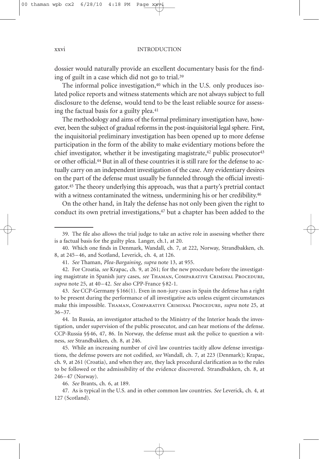dossier would naturally provide an excellent documentary basis for the finding of guilt in a case which did not go to trial. 39

The informal police investigation,<sup>40</sup> which in the U.S. only produces isolated police reports and witness statements which are not always subject to full disclosure to the defense, would tend to be the least reliable source for assessing the factual basis for a guilty plea. 41

The methodology and aims of the formal preliminary investigation have, however, been the subject of gradual reforms in the post-inquisitorial legal sphere. First, the inquisitorial preliminary investigation has been opened up to more defense participation in the form of the ability to make evidentiary motions before the chief investigator, whether it be investigating magistrate,<sup>42</sup> public prosecutor<sup>43</sup> or other official. <sup>44</sup> But in all of these countries it is still rare for the defense to actually carry on an independent investigation of the case. Any evidentiary desires on the part of the defense must usually be funneled through the official investigator. <sup>45</sup> The theory underlying this approach, was that a party's pretrial contact with a witness contaminated the witness, undermining his or her credibility. 46

On the other hand, in Italy the defense has not only been given the right to conduct its own pretrial investigations, <sup>47</sup> but a chapter has been added to the

43. *See* CCP-Germany §166(1). Even in non-jury cases in Spain the defense has a right to be present during the performance of all investigative acts unless exigent circumstances make this impossible. Thaman, Comparative Criminal Procedure, *supra* note 25, at 36–37.

44. In Russia, an investigator attached to the Ministry of the Interior heads the investigation, under supervision of the public prosecutor, and can hear motions of the defense. CCP-Russia §§46, 47, 86. In Norway, the defense must ask the police to question a witness, *see* Strandbakken, ch. 8, at 246.

45. While an increasing number of civil law countries tacitly allow defense investigations, the defense powers are not codified, *see* Wandall, ch. 7, at 223 (Denmark); Krapac, ch. 9, at 261 (Croatia), and when they are, they lack procedural clarification as to the rules to be followed or the admissibility of the evidence discovered. Strandbakken, ch. 8, at 246–47 (Norway).

46. *See* Brants, ch. 6, at 189.

47. As is typical in the U.S. and in other common law countries. *See* Leverick, ch. 4, at 127 (Scotland).

<sup>39.</sup> The file also allows the trial judge to take an active role in assessing whether there is a factual basis for the guilty plea. Langer, ch.1, at 20.

<sup>40.</sup> Which one finds in Denmark, Wandall, ch. 7, at 222, Norway, Strandbakken, ch. 8, at 245–46, and Scotland, Leverick, ch. 4, at 126.

<sup>41.</sup> *See* Thaman, *Plea-Bargaining*, *supra* note 13, at 955.

<sup>42.</sup> For Croatia, *see* Krapac, ch. 9, at 261; for the new procedure before the investigating magistrate in Spanish jury cases, *see* Thaman, Comparative Criminal Procedure, *supra* note 25, at 40–42. *See* also CPP-France §82-1.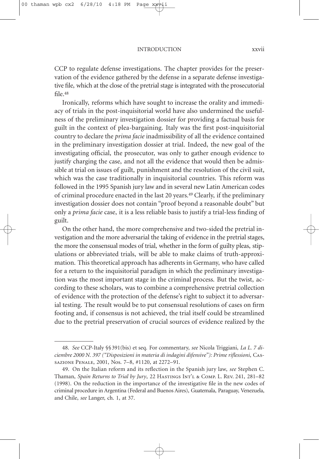CCP to regulate defense investigations. The chapter provides for the preservation of the evidence gathered by the defense in a separate defense investigative file, which at the close of the pretrial stage is integrated with the prosecutorial file. 48

Ironically, reforms which have sought to increase the orality and immediacy of trials in the post-inquisitorial world have also undermined the usefulness of the preliminary investigation dossier for providing a factual basis for guilt in the context of plea-bargaining. Italy was the first post-inquisitorial country to declare the *prima facie* inadmissibility of all the evidence contained in the preliminary investigation dossier at trial. Indeed, the new goal of the investigating official, the prosecutor, was only to gather enough evidence to justify charging the case, and not all the evidence that would then be admissible at trial on issues of guilt, punishment and the resolution of the civil suit, which was the case traditionally in inquisitorial countries. This reform was followed in the 1995 Spanish jury law and in several new Latin American codes of criminal procedure enacted in the last 20 years. <sup>49</sup> Clearly, if the preliminary investigation dossier does not contain "proof beyond a reasonable doubt" but only a *prima facie* case, it is a less reliable basis to justify a trial-less finding of guilt.

On the other hand, the more comprehensive and two-sided the pretrial investigation and the more adversarial the taking of evidence in the pretrial stages, the more the consensual modes of trial, whether in the form of guilty pleas, stipulations or abbreviated trials, will be able to make claims of truth-approximation. This theoretical approach has adherents in Germany, who have called for a return to the inquisitorial paradigm in which the preliminary investigation was the most important stage in the criminal process. But the twist, according to these scholars, was to combine a comprehensive pretrial collection of evidence with the protection of the defense's right to subject it to adversarial testing. The result would be to put consensual resolutions of cases on firm footing and, if consensus is not achieved, the trial itself could be streamlined due to the pretrial preservation of crucial sources of evidence realized by the

<sup>48.</sup> *See* CCP-Italy §§391(bis) et seq. For commentary, *see* Nicola Triggiani, *La L. 7 diciembre 2000 N. 397 ("Disposizioni in materia di indagini difensive"): Prime riflessioni*, Cassazione Penale, 2001, Nos. 7–8, #1120, at 2272–91.

<sup>49.</sup> On the Italian reform and its reflection in the Spanish jury law, *see* Stephen C. Thaman, *Spain Returns to Trial by Jury*, 22 Hastings Int'l & Comp. L. Rev. 241, 281–82 (1998). On the reduction in the importance of the investigative file in the new codes of criminal procedure in Argentina (Federal and Buenos Aires), Guatemala, Paraguay, Venezuela, and Chile, *see* Langer, ch. 1, at 37.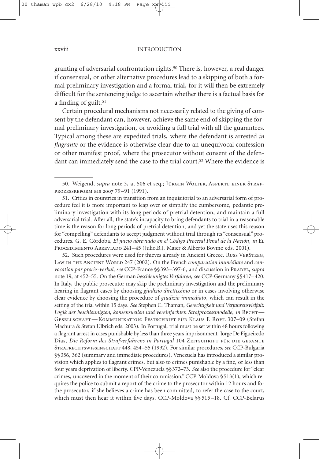granting of adversarial confrontation rights. <sup>50</sup> There is, however, a real danger if consensual, or other alternative procedures lead to a skipping of both a formal preliminary investigation and a formal trial, for it will then be extremely difficult for the sentencing judge to ascertain whether there is a factual basis for a finding of guilt. 51

Certain procedural mechanisms not necessarily related to the giving of consent by the defendant can, however, achieve the same end of skipping the formal preliminary investigation, or avoiding a full trial with all the guarantees. Typical among these are expedited trials, where the defendant is arrested *in flagrante* or the evidence is otherwise clear due to an unequivocal confession or other manifest proof, where the prosecutor without consent of the defendant can immediately send the case to the trial court. <sup>52</sup> Where the evidence is

51. Critics in countries in transition from an inquisitorial to an adversarial form of procedure feel it is more important to leap over or simplify the cumbersome, pedantic preliminary investigation with its long periods of pretrial detention, and maintain a full adversarial trial. After all, the state's incapacity to bring defendants to trial in a reasonable time is the reason for long periods of pretrial detention, and yet the state uses this reason for "compelling" defendants to accept judgment without trial through its "consensual" procedures. G. E. Córdoba, *El juicio abreviado en el Código Procesal Penal de la Nación*, *in* El PROCEDIMIENTO ABREVIADO 241-45 (Julio.B.J. Maier & Alberto Bovino eds. 2001).

52. Such procedures were used for thieves already in Ancient Greece. Russ VERSTEEG, Law IN THE ANCIENT WORLD 247 (2002). On the French *comparution immédiate* and *convocation par procès-verbal, see* CCP-France §§393-397-6, and discussion in PRADEL, *supra* note 19, at 452–55. On the German *beschleunigtes Verfahren*, *see* CCP-Germany §§417–420. In Italy, the public prosecutor may skip the preliminary investigation and the preliminary hearing in flagrant cases by choosing *giudizio direttissimo* or in cases involving otherwise clear evidence by choosing the procedure of *giudizio immediato*, which can result in the setting of the trial within 15 days. *See* Stephen C. Thaman, *Gerechtigkeit und Verfahrensvielfalt: Logik der beschleunigten, konsensuellen und vereinfachten Strafprozessmodelle*, *in* Recht— Gesellschaft—Kommunikation: Festschrift für Klaus F. Röhl 307–09 (Stefan Machura & Stefan Ulbrich eds. 2003). In Portugal, trial must be set within 48 hours following a flagrant arrest in cases punishable by less than three years imprisonment. Jorge De Figueiredo Dias, *Die Reform des Strafverfahrens in Portugal* 104 Zeitschrift für die gesamte Strafrechtswissenschaft 448, 454–55 (1992). For similar procedures, *see* CCP-Bulgaria §§356, 362 (summary and immediate procedures). Venezuela has introduced a similar provision which applies to flagrant crimes, but also to crimes punishable by a fine, or less than four years deprivation of liberty. CPP-Venezuela §§372–73. *See* also the procedure for "clear crimes, uncovered in the moment of their commission,"CCP-Moldova §513(1), which requires the police to submit a report of the crime to the prosecutor within 12 hours and for the prosecutor, if she believes a crime has been committed, to refer the case to the court, which must then hear it within five days. CCP-Moldova §§ 515–18. Cf. CCP-Belarus

<sup>50.</sup> Weigend, *supra* note 3, at 506 et seq.; JÜRGEN WOLTER, ASPEKTE EINER STRAFprozessreform bis 2007 79–91 (1991).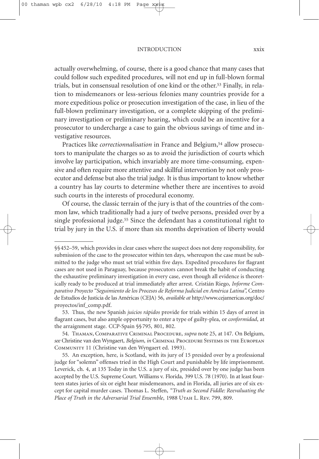#### INTRODUCTION xxix

actually overwhelming, of course, there is a good chance that many cases that could follow such expedited procedures, will not end up in full-blown formal trials, but in consensual resolution of one kind or the other. <sup>53</sup> Finally, in relation to misdemeanors or less-serious felonies many countries provide for a more expeditious police or prosecution investigation of the case, in lieu of the full-blown preliminary investigation, or a complete skipping of the preliminary investigation or preliminary hearing, which could be an incentive for a prosecutor to undercharge a case to gain the obvious savings of time and investigative resources.

Practices like *correctionnalisation* in France and Belgium, <sup>54</sup> allow prosecutors to manipulate the charges so as to avoid the jurisdiction of courts which involve lay participation, which invariably are more time-consuming, expensive and often require more attentive and skillful intervention by not only prosecutor and defense but also the trial judge. It is thus important to know whether a country has lay courts to determine whether there are incentives to avoid such courts in the interests of procedural economy.

Of course, the classic terrain of the jury is that of the countries of the common law, which traditionally had a jury of twelve persons, presided over by a single professional judge.<sup>55</sup> Since the defendant has a constitutional right to trial by jury in the U.S. if more than six months deprivation of liberty would

<sup>§§452–59,</sup> which provides in clear cases where the suspect does not deny responsibility, for submission of the case to the prosecutor within ten days, whereupon the case must be submitted to the judge who must set trial within five days. Expedited procedures for flagrant cases are not used in Paraguay, because prosecutors cannot break the habit of conducting the exhaustive preliminary investigation in every case, even though all evidence is theoretically ready to be produced at trial immediately after arrest. Cristián Riego, *Informe Comparativo Proyecto "Seguimiento de los Procesos de Reforma Judicial en América Latina",* Centro de Estudios de Justicia de las Américas (CEJA) 56, *available at* http://www.cejamericas.org/doc/ proyectos/inf\_comp.pdf.

<sup>53.</sup> Thus, the new Spanish *juicios rápidos* provide for trials within 15 days of arrest in flagrant cases, but also ample opportunity to enter a type of guilty-plea, or *conformidad*, at the arraignment stage. CCP-Spain §§795, 801, 802.

<sup>54.</sup> Thaman, Comparative Criminal Procedure, *supra* note 25, at 147. On Belgium, *see* Christine van den Wyngaert, *Belgium*, *in* Criminal Procedure Systems in the European Community 11 (Christine van den Wyngaert ed. 1993).

<sup>55.</sup> An exception, here, is Scotland, with its jury of 15 presided over by a professional judge for "solemn" offenses tried in the High Court and punishable by life imprisonment. Leverick, ch. 4, at 135 Today in the U.S. a jury of six, presided over by one judge has been accepted by the U.S. Supreme Court. Williams v. Florida, 399 U.S. 78 (1970). In at least fourteen states juries of six or eight hear misdemeanors, and in Florida, all juries are of six except for capital murder cases. Thomas L. Steffen, *"Truth as Second Fiddle: Reevaluating the Place of Truth in the Adversarial Trial Ensemble*, 1988 Utah L. Rev. 799, 809.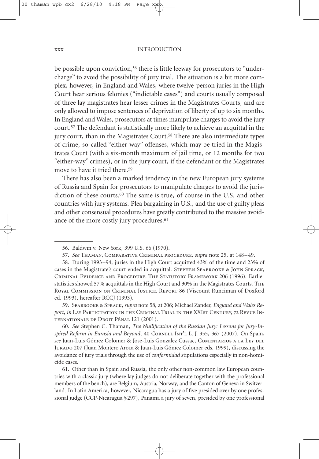#### xxx INTRODUCTION

be possible upon conviction, <sup>56</sup> there is little leeway for prosecutors to "undercharge" to avoid the possibility of jury trial. The situation is a bit more complex, however, in England and Wales, where twelve-person juries in the High Court hear serious felonies ("indictable cases") and courts usually composed of three lay magistrates hear lesser crimes in the Magistrates Courts, and are only allowed to impose sentences of deprivation of liberty of up to six months. In England and Wales, prosecutors at times manipulate charges to avoid the jury court. <sup>57</sup> The defendant is statistically more likely to achieve an acquittal in the jury court, than in the Magistrates Court. <sup>58</sup> There are also intermediate types of crime, so-called "either-way" offenses, which may be tried in the Magistrates Court (with a six-month maximum of jail time, or 12 months for two "either-way" crimes), or in the jury court, if the defendant or the Magistrates move to have it tried there. 59

There has also been a marked tendency in the new European jury systems of Russia and Spain for prosecutors to manipulate charges to avoid the jurisdiction of these courts.60 The same is true, of course in the U.S. and other countries with jury systems. Plea bargaining in U.S., and the use of guilty pleas and other consensual procedures have greatly contributed to the massive avoidance of the more costly jury procedures. 61

59. Seabrooke & Sprack, *supra* note 58, at 206; Michael Zander, *England and Wales Report*, *in* Lay Participation in the Criminal Trial in the XXIst Century, 72 Revue Internationale de Droit Pénal 121 (2001).

60. *See* Stephen C. Thaman, *The Nullification of the Russian Jury: Lessons for Jury-Inspired Reform in Eurasia and Beyond*, 40 Cornell Int'l L. J. 355, 367 (2007). On Spain, *see* Juan-Luis Gómez Colomer & Jose-Luis Gonzalez Cussac, Comentarios a la Ley del Jurado 207 (Juan Montero Aroca & Juan-Luis Gómez Colomer eds. 1999), discussing the avoidance of jury trials through the use of *conformidad* stipulations especially in non-homicide cases.

61. Other than in Spain and Russia, the only other non-common law European countries with a classic jury (where lay judges do not deliberate together with the professional members of the bench), are Belgium, Austria, Norway, and the Canton of Geneva in Switzerland. In Latin America, however, Nicaragua has a jury of five presided over by one professional judge (CCP-Nicaragua §297), Panama a jury of seven, presided by one professional

<sup>56.</sup> Baldwin v. New York, 399 U.S. 66 (1970).

<sup>57.</sup> *See* Thaman, Comparative Criminal procedure, *supra* note 25, at 148–49.

<sup>58.</sup> During 1993–94, juries in the High Court acquitted 43% of the time and 23% of cases in the Magistrate's court ended in acquittal. Stephen Seabrooke & John Sprack, Criminal Evidence and Procedure: The Statutory Framework 206 (1996). Earlier statistics showed 57% acquittals in the High Court and 30% in the Magistrates Courts. The Royal Commission on Criminal Justice. Report 86 (Viscount Runciman of Doxford ed. 1993), hereafter RCCJ (1993).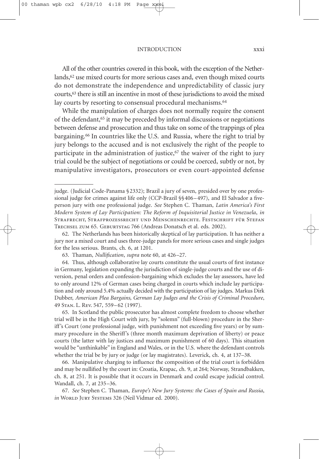#### INTRODUCTION xxxi

All of the other countries covered in this book, with the exception of the Netherlands, <sup>62</sup> use mixed courts for more serious cases and, even though mixed courts do not demonstrate the independence and unpredictability of classic jury courts, <sup>63</sup> there is still an incentive in most of these jurisdictions to avoid the mixed lay courts by resorting to consensual procedural mechanisms. 64

While the manipulation of charges does not normally require the consent of the defendant, <sup>65</sup> it may be preceded by informal discussions or negotiations between defense and prosecution and thus take on some of the trappings of plea bargaining. <sup>66</sup> In countries like the U.S. and Russia, where the right to trial by jury belongs to the accused and is not exclusively the right of the people to participate in the administration of justice, $67$  the waiver of the right to jury trial could be the subject of negotiations or could be coerced, subtly or not, by manipulative investigators, prosecutors or even court-appointed defense

65. In Scotland the public prosecutor has almost complete freedom to choose whether trial will be in the High Court with jury, by "solemn" (full-blown) procedure in the Sheriff's Court (one professional judge, with punishment not exceeding five years) or by summary procedure in the Sheriff's (three month maximum deprivation of liberty) or peace courts (the latter with lay justices and maximum punishment of 60 days). This situation would be "unthinkable" in England and Wales, or in the U.S. where the defendant controls whether the trial be by jury or judge (or lay magistrates). Leverick, ch. 4, at 137–38.

66. Manipulative charging to influence the composition of the trial court is forbidden and may be nullified by the court in: Croatia, Krapac, ch. 9, at 264; Norway, Strandbakken, ch. 8, at 251. It is possible that it occurs in Denmark and could escape judicial control. Wandall, ch. 7, at 235–36.

67. *See* Stephen C. Thaman, *Europe's New Jury Systems: the Cases of Spain and Russia*, *in* WORLD JURY SYSTEMS 326 (Neil Vidmar ed. 2000).

judge. (Judicial Code-Panama §2332); Brazil a jury of seven, presided over by one professional judge for crimes against life only (CCP-Brazil §§406–497), and El Salvador a fiveperson jury with one professional judge. *See* Stephen C. Thaman, *Latin America's First Modern System of Lay Participation: The Reform of Inquisitorial Justice in Venezuela*, *in* Strafrecht, Strafprozessrecht und Menschenrechte. Festschrift für Stefan Trechsel zum 65. Geburtstag 766 (Andreas Donatsch et al. eds. 2002).

<sup>62.</sup> The Netherlands has been historically skeptical of lay participation. It has neither a jury nor a mixed court and uses three-judge panels for more serious cases and single judges for the less serious. Brants, ch. 6, at 1201.

<sup>63.</sup> Thaman, *Nullification*, *supra* note 60, at 426–27.

<sup>64.</sup> Thus, although collaborative lay courts constitute the usual courts of first instance in Germany, legislation expanding the jurisdiction of single-judge courts and the use of diversion, penal orders and confession-bargaining which excludes the lay assessors, have led to only around 12% of German cases being charged in courts which include lay participation and only around 5.4% actually decided with the participation of lay judges. Markus Dirk Dubber, *American Plea Bargains, German Lay Judges and the Crisis of Criminal Procedure*, 49 Stan. L. Rev. 547, 559–62 (1997).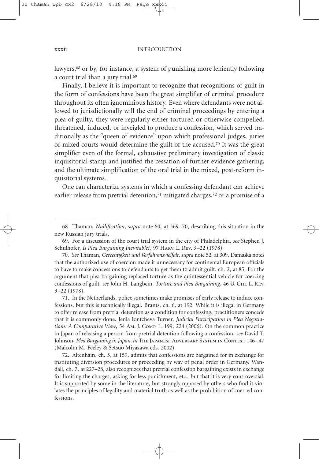lawyers, <sup>68</sup> or by, for instance, a system of punishing more leniently following a court trial than a jury trial. 69

Finally, I believe it is important to recognize that recognitions of guilt in the form of confessions have been the great simplifier of criminal procedure throughout its often ignominious history. Even where defendants were not allowed to jurisdictionally will the end of criminal proceedings by entering a plea of guilty, they were regularly either tortured or otherwise compelled, threatened, induced, or inveigled to produce a confession, which served traditionally as the "queen of evidence" upon which professional judges, juries or mixed courts would determine the guilt of the accused. <sup>70</sup> It was the great simplifier even of the formal, exhaustive preliminary investigation of classic inquisitorial stamp and justified the cessation of further evidence gathering, and the ultimate simplification of the oral trial in the mixed, post-reform inquisitorial systems.

One can characterize systems in which a confessing defendant can achieve earlier release from pretrial detention, <sup>71</sup> mitigated charges, <sup>72</sup> or a promise of a

71. In the Netherlands, police sometimes make promises of early release to induce confessions, but this is technically illegal. Brants, ch. 6, at 192. While it is illegal in Germany to offer release from pretrial detention as a condition for confessing, practitioners concede that it is commonly done. Jenia Iontcheva Turner, *Judicial Participation in Plea Negotiations: A Comparative View*, 54 Am. J. Comp. L. 199, 224 (2006). On the common practice in Japan of releasing a person from pretrial detention following a confession, *see* David T. Johnson, *Plea Bargaining in Japan, in* The Japanese Adversary System in Context 146–47 (Malcolm M. Feeley & Setsuo Miyazawa eds. 2002).

72. Altenhain, ch. 5, at 159, admits that confessions are bargained for in exchange for instituting diversion procedures or proceeding by way of penal order in Germany. Wandall, ch. 7, at 227–28, also recognizes that pretrial confession bargaining exists in exchange for limiting the charges, asking for less punishment, etc., but that it is very controversial. It is supported by some in the literature, but strongly opposed by others who find it violates the principles of legality and material truth as well as the prohibition of coerced confessions.

<sup>68.</sup> Thaman, *Nullification*, *supra* note 60, at 369–70, describing this situation in the new Russian jury trials.

<sup>69.</sup> For a discussion of the court trial system in the city of Philadelphia, *see* Stephen J. Schulhofer, *Is Plea Bargaining Inevitable?*, 97 Harv. L. Rev. 3–22 (1978).

<sup>70.</sup> See Thaman, Gerechtigkeit und Verfahrensvielfalt, supra note 52, at 309. Damaška notes that the authorized use of coercion made it unnecessary for continental European officials to have to make concessions to defendants to get them to admit guilt. ch. 2, at 85. For the argument that plea bargaining replaced torture as the quintessential vehicle for coercing confessions of guilt, *see* John H. Langbein, *Torture and Plea Bargaining*, 46 U. Chi. L. Rev. 3–22 (1978).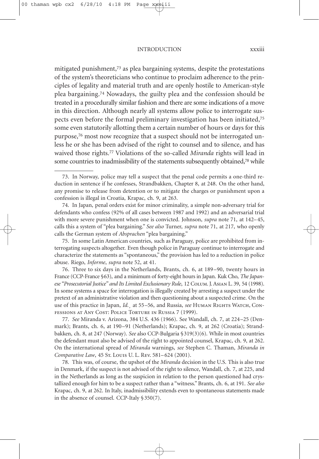#### INTRODUCTION xxxiii

mitigated punishment, <sup>73</sup> as plea bargaining systems, despite the protestations of the system's theoreticians who continue to proclaim adherence to the principles of legality and material truth and are openly hostile to American-style plea bargaining.74 Nowadays, the guilty plea and the confession should be treated in a procedurally similar fashion and there are some indications of a move in this direction. Although nearly all systems allow police to interrogate suspects even before the formal preliminary investigation has been initiated,75 some even statutorily allotting them a certain number of hours or days for this purpose, <sup>76</sup> most now recognize that a suspect should not be interrogated unless he or she has been advised of the right to counsel and to silence, and has waived those rights.77 Violations of the so-called *Miranda* rights will lead in some countries to inadmissibility of the statements subsequently obtained, <sup>78</sup> while

74. In Japan, penal orders exist for minor criminality, a simple non-adversary trial for defendants who confess (92% of all cases between 1987 and 1992) and an adversarial trial with more severe punishment when one is convicted. Johnson, *supra* note 71, at 142–45, calls this a system of "plea bargaining." *See also* Turner, *supra* note 71, at 217, who openly calls the German system of *Absprachen* "plea bargaining."

75. In some Latin American countries, such as Paraguay, police are prohibited from interrogating suspects altogether. Even though police in Paraguay continue to interrogate and characterize the statements as "spontaneous," the provision has led to a reduction in police abuse. Riego, *Informe*, *supra* note 52, at 41.

76. Three to six days in the Netherlands, Brants, ch. 6, at 189–90, twenty hours in France (CCP-France §63), and a minimum of forty-eight hours in Japan. Kuk Cho, *The Japanese "Prosecutorial Justice" and Its Limited Exclusionary Rule*, 12 Colum.J.Asian L. 39, 54 (1998). In some systems a space for interrogation is illegally created by arresting a suspect under the pretext of an administrative violation and then questioning about a suspected crime. On the use of this practice in Japan, *Id.¸* at 55–56, and Russia, *see* Human Rights Watch, Confessions at Any Cost: Police Torture in Russia 7 (1999).

77. *See* Miranda v. Arizona, 384 U.S. 436 (1966). See Wandall, ch. 7, at 224–25 (Denmark); Brants, ch. 6, at 190–91 (Netherlands); Krapac, ch. 9, at 262 (Croatia); Strandbakken, ch. 8, at 247 (Norway). *See* also CCP-Bulgaria §319(3)(6). While in most countries the defendant must also be advised of the right to appointed counsel, Krapac, ch. 9, at 262. On the international spread of *Miranda* warnings, *see* Stephen C. Thaman, *Miranda in Comparative Law*, 45 St. Louis U. L. Rev. 581–624 (2001).

78. This was, of course, the upshot of the *Miranda* decision in the U.S. This is also true in Denmark, if the suspect is not advised of the right to silence, Wandall, ch. 7, at 225, and in the Netherlands as long as the suspicion in relation to the person questioned had crystallized enough for him to be a suspect rather than a "witness." Brants, ch. 6, at 191. *See also* Krapac, ch. 9, at 262. In Italy, inadmissibility extends even to spontaneous statements made in the absence of counsel. CCP-Italy §350(7).

<sup>73.</sup> In Norway, police may tell a suspect that the penal code permits a one-third reduction in sentence if he confesses, Strandbakken, Chapter 8, at 248. On the other hand, any promise to release from detention or to mitigate the charges or punishment upon a confession is illegal in Croatia, Krapac, ch. 9, at 263.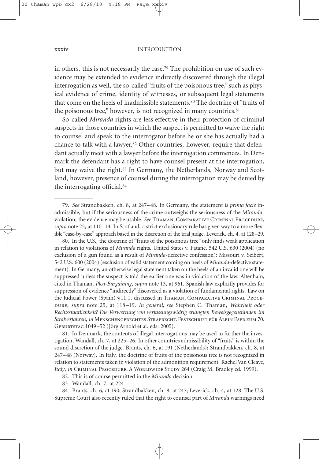#### xxxiv INTRODUCTION

in others, this is not necessarily the case. <sup>79</sup> The prohibition on use of such evidence may be extended to evidence indirectly discovered through the illegal interrogation as well, the so-called "fruits of the poisonous tree," such as physical evidence of crime, identity of witnesses, or subsequent legal statements that come on the heels of inadmissible statements. <sup>80</sup> The doctrine of "fruits of the poisonous tree," however, is not recognized in many countries. 81

So-called *Miranda* rights are less effective in their protection of criminal suspects in those countries in which the suspect is permitted to waive the right to counsel and speak to the interrogator before he or she has actually had a chance to talk with a lawyer. <sup>82</sup> Other countries, however, require that defendant actually meet with a lawyer before the interrogation commences. In Denmark the defendant has a right to have counsel present at the interrogation, but may waive the right.<sup>83</sup> In Germany, the Netherlands, Norway and Scotland, however, presence of counsel during the interrogation may be denied by the interrogating official. 84

80. In the U.S., the doctrine of "fruits of the poisonous tree" only finds weak application in relation to violations of *Miranda* rights. United States v. Patane, 542 U.S. 630 (2004) (no exclusion of a gun found as a result of *Miranda*-defective confession); Missouri v. Seibert, 542 U.S. 600 (2004) (exclusion of valid statement coming on heels of *Miranda*-defective statement). In Germany, an otherwise legal statement taken on the heels of an invalid one will be suppressed unless the suspect is told the earlier one was in violation of the law. Altenhain, cited in Thaman, *Plea-Bargaining*, *supra* note 13, at 961. Spanish law explicitly provides for suppression of evidence "indirectly" discovered as a violation of fundamental rights. Law on the Judicial Power (Spain) §11.1, discussed in Thaman, Comparative Criminal Procedure, *supra* note 25, at 118–19. *In general, see* Stephen C. Thaman, *Wahrheit oder Rechtsstaatlichkeit? Die Verwertung von verfassungswidrig erlangten Beweisgegenständen im Strafverfahren*, *in* Menschengerechtes Strafrecht. Festschrift für Albin Eser zum 70. Geburtstag 1049–52 (Jörg Arnold et al. eds. 2005).

81. In Denmark, the contents of illegal interrogations may be used to further the investigation, Wandall, ch. 7, at 225–26. In other countries admissibility of "fruits" is within the sound discretion of the judge. Brants, ch. 6, at 191 (Netherlands); Strandbakken, ch. 8, at 247–48 (Norway). In Italy, the doctrine of fruits of the poisonous tree is not recognized in relation to statements taken in violation of the admonition requirement. Rachel Van Cleave, Italy, *in* CRIMINAL PROCEDURE. A WORLDWIDE STUDY 264 (Craig M. Bradley ed. 1999).

82. This is of course permitted in the *Miranda* decision.

83. Wandall, ch. 7, at 224.

84. Brants, ch. 6, at 190; Strandbakken, ch. 8, at 247; Leverick, ch. 4, at 128. The U.S. Supreme Court also recently ruled that the right to counsel part of *Miranda* warnings need

<sup>79.</sup> *See* Strandbakken, ch. 8, at 247–48. In Germany, the statement is *prima facie* inadmissible, but if the seriousness of the crime outweighs the seriousness of the *Miranda*violation, the evidence may be usable. *See* Thaman, Comparative Criminal Procedure, *supra* note 25, at 110–14. In Scotland, a strict exclusionary rule has given way to a more flexible "case-by-case" approach based in the discretion of the trial judge. Leverick, ch. 4, at 128–29.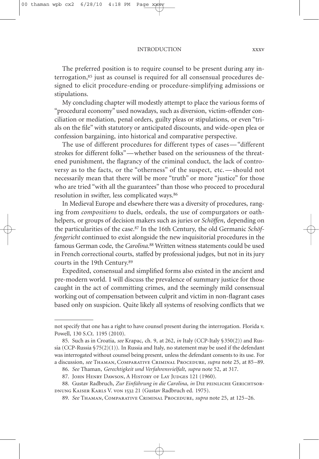INTRODUCTION xxxv

The preferred position is to require counsel to be present during any interrogation,<sup>85</sup> just as counsel is required for all consensual procedures designed to elicit procedure-ending or procedure-simplifying admissions or stipulations.

My concluding chapter will modestly attempt to place the various forms of "procedural economy" used nowadays, such as diversion, victim-offender conciliation or mediation, penal orders, guilty pleas or stipulations, or even "trials on the file" with statutory or anticipated discounts, and wide-open plea or confession bargaining, into historical and comparative perspective.

The use of different procedures for different types of cases—"different strokes for different folks"—whether based on the seriousness of the threatened punishment, the flagrancy of the criminal conduct, the lack of controversy as to the facts, or the "otherness" of the suspect, etc.—should not necessarily mean that there will be more "truth" or more "justice" for those who are tried "with all the guarantees" than those who proceed to procedural resolution in swifter, less complicated ways. 86

In Medieval Europe and elsewhere there was a diversity of procedures, ranging from *compositions* to duels, ordeals, the use of compurgators or oathhelpers, or groups of decision makers such as juries or *Schöffen*, depending on the particularities of the case. <sup>87</sup> In the 16th Century, the old Germanic *Schöffengericht* continued to exist alongside the new inquisitorial procedures in the famous German code, the *Carolina*. <sup>88</sup> Written witness statements could be used in French correctional courts, staffed by professional judges, but not in its jury courts in the 19th Century. 89

Expedited, consensual and simplified forms also existed in the ancient and pre-modern world. I will discuss the prevalence of summary justice for those caught in the act of committing crimes, and the seemingly mild consensual working out of compensation between culprit and victim in non-flagrant cases based only on suspicion. Quite likely all systems of resolving conflicts that we

not specify that one has a right to have counsel present during the interrogation. Florida v. Powell, 130 S.Ct. 1195 (2010).

<sup>85.</sup> Such as in Croatia, *see* Krapac, ch. 9, at 262, *in* Italy (CCP-Italy §350(2)) and Russia (CCP-Russia §75(2)(1)). In Russia and Italy, no statement may be used if the defendant was interrogated without counsel being present, unless the defendant consents to its use. For a discussion, *see* Thaman, Comparative Criminal Procedure, *supra* note 25, at 85–89.

<sup>86.</sup> *See* Thaman, *Gerechtigkeit und Verfahrensvielfalt*, *supra* note 52, at 317.

<sup>87.</sup> JOHN HENRY DAWSON, A HISTORY OF LAY JUDGES 121 (1960).

<sup>88.</sup> Gustav Radbruch, *Zur Einführung in die Carolina*, *in* DIE PEINLICHE GERICHTSORdnung Kaiser Karls V. von 1532 21 (Gustav Radbruch ed. 1975).

<sup>89.</sup> *See* Thaman, Comparative Criminal Procedure, *supra* note 25, at 125–26.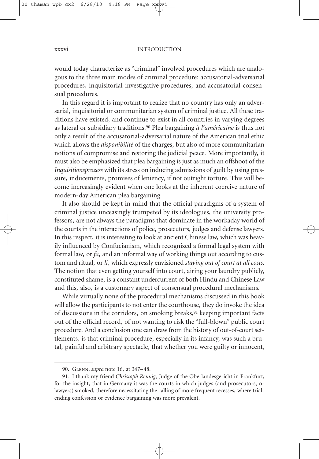would today characterize as "criminal" involved procedures which are analogous to the three main modes of criminal procedure: accusatorial-adversarial procedures, inquisitorial-investigative procedures, and accusatorial-consensual procedures.

In this regard it is important to realize that no country has only an adversarial, inquisitorial or communitarian system of criminal justice. All these traditions have existed, and continue to exist in all countries in varying degrees as lateral or subsidiary traditions. <sup>90</sup> Plea bargaining *à l'américaine* is thus not only a result of the accusatorial-adversarial nature of the American trial ethic which allows the *disponibilité* of the charges, but also of more communitarian notions of compromise and restoring the judicial peace. More importantly, it must also be emphasized that plea bargaining is just as much an offshoot of the *Inquisitionsprozess* with its stress on inducing admissions of guilt by using pressure, inducements, promises of leniency, if not outright torture. This will become increasingly evident when one looks at the inherent coercive nature of modern-day American plea bargaining.

It also should be kept in mind that the official paradigms of a system of criminal justice unceasingly trumpeted by its ideologues, the university professors, are not always the paradigms that dominate in the workaday world of the courts in the interactions of police, prosecutors, judges and defense lawyers. In this respect, it is interesting to look at ancient Chinese law, which was heavily influenced by Confucianism, which recognized a formal legal system with formal law, or *fa*, and an informal way of working things out according to custom and ritual, or *li*, which expressly envisioned *staying out of court at all costs*. The notion that even getting yourself into court, airing your laundry publicly, constituted shame, is a constant undercurrent of both Hindu and Chinese Law and this, also, is a customary aspect of consensual procedural mechanisms.

While virtually none of the procedural mechanisms discussed in this book will allow the participants to not enter the courthouse, they do invoke the idea of discussions in the corridors, on smoking breaks, <sup>91</sup> keeping important facts out of the official record, of not wanting to risk the "full-blown" public court procedure. And a conclusion one can draw from the history of out-of-court settlements, is that criminal procedure, especially in its infancy, was such a brutal, painful and arbitrary spectacle, that whether you were guilty or innocent,

<sup>90.</sup> Glenn, *supra* note 16, at 347–48.

<sup>91.</sup> I thank my friend *Christoph Rennig*, Judge of the Oberlandesgericht in Frankfurt, for the insight, that in Germany it was the courts in which judges (and prosecutors, or lawyers) smoked, therefore necessitating the calling of more frequent recesses, where trialending confession or evidence bargaining was more prevalent.